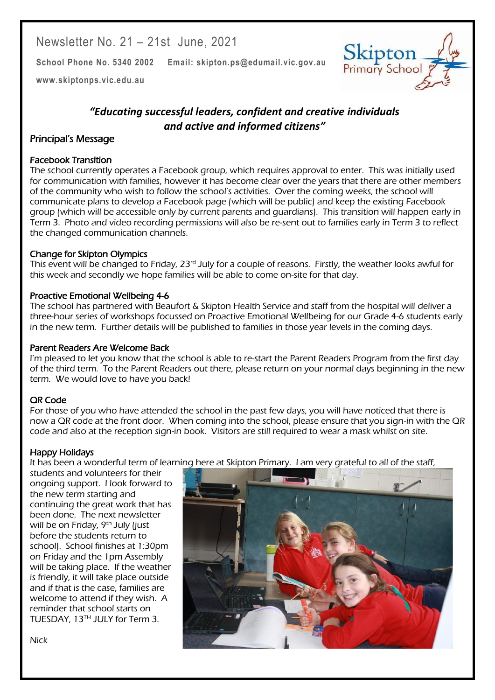Newsletter No. 21 – 21st June, 2021

**School Phone No. 5340 2002 Email: skipton.ps@edumail.vic.gov.au**

**[www.skiptonps.vic.edu.au](http://www.skiptonps.vic.edu.au/)**



## *"Educating successful leaders, confident and creative individuals and active and informed citizens"*

#### Principal's Message

#### Facebook Transition

The school currently operates a Facebook group, which requires approval to enter. This was initially used for communication with families, however it has become clear over the years that there are other members of the community who wish to follow the school's activities. Over the coming weeks, the school will communicate plans to develop a Facebook page (which will be public) and keep the existing Facebook group (which will be accessible only by current parents and guardians). This transition will happen early in Term 3. Photo and video recording permissions will also be re-sent out to families early in Term 3 to reflect the changed communication channels.

#### Change for Skipton Olympics

This event will be changed to Friday, 23rd July for a couple of reasons. Firstly, the weather looks awful for this week and secondly we hope families will be able to come on-site for that day.

#### Proactive Emotional Wellbeing 4-6

The school has partnered with Beaufort & Skipton Health Service and staff from the hospital will deliver a three-hour series of workshops focussed on Proactive Emotional Wellbeing for our Grade 4-6 students early in the new term. Further details will be published to families in those year levels in the coming days.

#### Parent Readers Are Welcome Back

I'm pleased to let you know that the school is able to re-start the Parent Readers Program from the first day of the third term. To the Parent Readers out there, please return on your normal days beginning in the new term. We would love to have you back!

#### QR Code

For those of you who have attended the school in the past few days, you will have noticed that there is now a QR code at the front door. When coming into the school, please ensure that you sign-in with the QR code and also at the reception sign-in book. Visitors are still required to wear a mask whilst on site.

#### Happy Holidays

It has been a wonderful term of learning here at Skipton Primary. I am very grateful to all of the staff,

students and volunteers for their ongoing support. I look forward to the new term starting and continuing the great work that has been done. The next newsletter will be on Friday, 9<sup>th</sup> July liust before the students return to school). School finishes at 1:30pm on Friday and the 1pm Assembly will be taking place. If the weather is friendly, it will take place outside and if that is the case, families are welcome to attend if they wish. A reminder that school starts on TUESDAY, 13<sup>TH</sup> JULY for Term 3.



Centacare South West